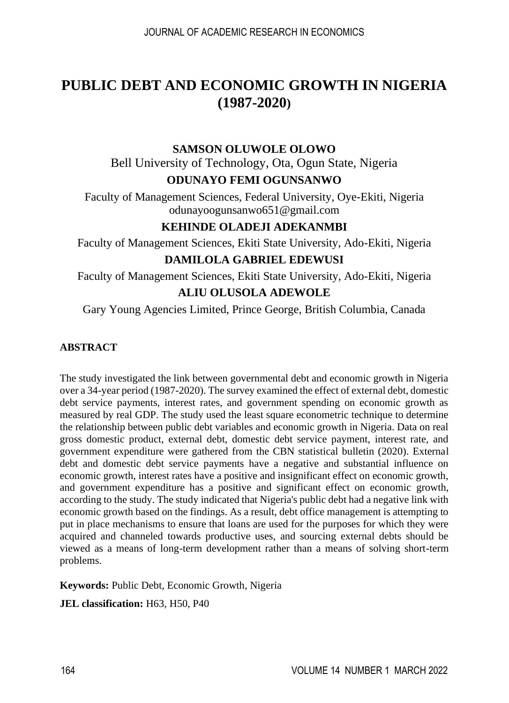# **PUBLIC DEBT AND ECONOMIC GROWTH IN NIGERIA (1987-2020)**

### **SAMSON OLUWOLE OLOWO**

Bell University of Technology, Ota, Ogun State, Nigeria **ODUNAYO FEMI OGUNSANWO**

Faculty of Management Sciences, Federal University, Oye-Ekiti, Nigeria [odunayoogunsanwo651@gmail.com](mailto:odunayoogunsanwo651@gmail.com)

## **KEHINDE OLADEJI ADEKANMBI**

Faculty of Management Sciences, Ekiti State University, Ado-Ekiti, Nigeria

#### **DAMILOLA GABRIEL EDEWUSI**

Faculty of Management Sciences, Ekiti State University, Ado-Ekiti, Nigeria **ALIU OLUSOLA ADEWOLE**

Gary Young Agencies Limited, Prince George, British Columbia, Canada

#### **ABSTRACT**

The study investigated the link between governmental debt and economic growth in Nigeria over a 34-year period (1987-2020). The survey examined the effect of external debt, domestic debt service payments, interest rates, and government spending on economic growth as measured by real GDP. The study used the least square econometric technique to determine the relationship between public debt variables and economic growth in Nigeria. Data on real gross domestic product, external debt, domestic debt service payment, interest rate, and government expenditure were gathered from the CBN statistical bulletin (2020). External debt and domestic debt service payments have a negative and substantial influence on economic growth, interest rates have a positive and insignificant effect on economic growth, and government expenditure has a positive and significant effect on economic growth, according to the study. The study indicated that Nigeria's public debt had a negative link with economic growth based on the findings. As a result, debt office management is attempting to put in place mechanisms to ensure that loans are used for the purposes for which they were acquired and channeled towards productive uses, and sourcing external debts should be viewed as a means of long-term development rather than a means of solving short-term problems.

**Keywords:** Public Debt, Economic Growth, Nigeria

**JEL classification:** H63, H50, P40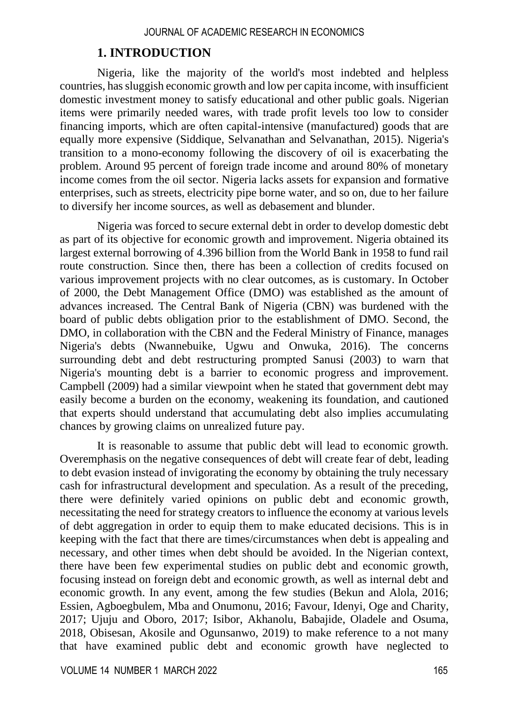### **1. INTRODUCTION**

Nigeria, like the majority of the world's most indebted and helpless countries, has sluggish economic growth and low per capita income, with insufficient domestic investment money to satisfy educational and other public goals. Nigerian items were primarily needed wares, with trade profit levels too low to consider financing imports, which are often capital-intensive (manufactured) goods that are equally more expensive (Siddique, Selvanathan and Selvanathan, 2015). Nigeria's transition to a mono-economy following the discovery of oil is exacerbating the problem. Around 95 percent of foreign trade income and around 80% of monetary income comes from the oil sector. Nigeria lacks assets for expansion and formative enterprises, such as streets, electricity pipe borne water, and so on, due to her failure to diversify her income sources, as well as debasement and blunder.

Nigeria was forced to secure external debt in order to develop domestic debt as part of its objective for economic growth and improvement. Nigeria obtained its largest external borrowing of 4.396 billion from the World Bank in 1958 to fund rail route construction. Since then, there has been a collection of credits focused on various improvement projects with no clear outcomes, as is customary. In October of 2000, the Debt Management Office (DMO) was established as the amount of advances increased. The Central Bank of Nigeria (CBN) was burdened with the board of public debts obligation prior to the establishment of DMO. Second, the DMO, in collaboration with the CBN and the Federal Ministry of Finance, manages Nigeria's debts (Nwannebuike, Ugwu and Onwuka, 2016). The concerns surrounding debt and debt restructuring prompted Sanusi (2003) to warn that Nigeria's mounting debt is a barrier to economic progress and improvement. Campbell (2009) had a similar viewpoint when he stated that government debt may easily become a burden on the economy, weakening its foundation, and cautioned that experts should understand that accumulating debt also implies accumulating chances by growing claims on unrealized future pay.

It is reasonable to assume that public debt will lead to economic growth. Overemphasis on the negative consequences of debt will create fear of debt, leading to debt evasion instead of invigorating the economy by obtaining the truly necessary cash for infrastructural development and speculation. As a result of the preceding, there were definitely varied opinions on public debt and economic growth, necessitating the need for strategy creators to influence the economy at various levels of debt aggregation in order to equip them to make educated decisions. This is in keeping with the fact that there are times/circumstances when debt is appealing and necessary, and other times when debt should be avoided. In the Nigerian context, there have been few experimental studies on public debt and economic growth, focusing instead on foreign debt and economic growth, as well as internal debt and economic growth. In any event, among the few studies (Bekun and Alola, 2016; Essien, Agboegbulem, Mba and Onumonu, 2016; Favour, Idenyi, Oge and Charity, 2017; Ujuju and Oboro, 2017; Isibor, Akhanolu, Babajide, Oladele and Osuma, 2018, Obisesan, Akosile and Ogunsanwo, 2019) to make reference to a not many that have examined public debt and economic growth have neglected to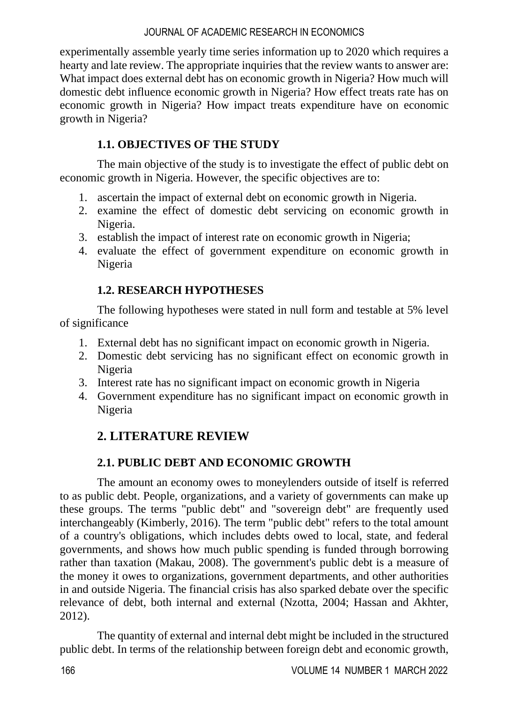experimentally assemble yearly time series information up to 2020 which requires a hearty and late review. The appropriate inquiries that the review wants to answer are: What impact does external debt has on economic growth in Nigeria? How much will domestic debt influence economic growth in Nigeria? How effect treats rate has on economic growth in Nigeria? How impact treats expenditure have on economic growth in Nigeria?

## **1.1. OBJECTIVES OF THE STUDY**

The main objective of the study is to investigate the effect of public debt on economic growth in Nigeria. However, the specific objectives are to:

- 1. ascertain the impact of external debt on economic growth in Nigeria.
- 2. examine the effect of domestic debt servicing on economic growth in Nigeria.
- 3. establish the impact of interest rate on economic growth in Nigeria;
- 4. evaluate the effect of government expenditure on economic growth in Nigeria

## **1.2. RESEARCH HYPOTHESES**

The following hypotheses were stated in null form and testable at 5% level of significance

- 1. External debt has no significant impact on economic growth in Nigeria.
- 2. Domestic debt servicing has no significant effect on economic growth in Nigeria
- 3. Interest rate has no significant impact on economic growth in Nigeria
- 4. Government expenditure has no significant impact on economic growth in Nigeria

## **2. LITERATURE REVIEW**

## **2.1. PUBLIC DEBT AND ECONOMIC GROWTH**

The amount an economy owes to moneylenders outside of itself is referred to as public debt. People, organizations, and a variety of governments can make up these groups. The terms "public debt" and "sovereign debt" are frequently used interchangeably (Kimberly, 2016). The term "public debt" refers to the total amount of a country's obligations, which includes debts owed to local, state, and federal governments, and shows how much public spending is funded through borrowing rather than taxation (Makau, 2008). The government's public debt is a measure of the money it owes to organizations, government departments, and other authorities in and outside Nigeria. The financial crisis has also sparked debate over the specific relevance of debt, both internal and external (Nzotta, 2004; Hassan and Akhter, 2012).

The quantity of external and internal debt might be included in the structured public debt. In terms of the relationship between foreign debt and economic growth,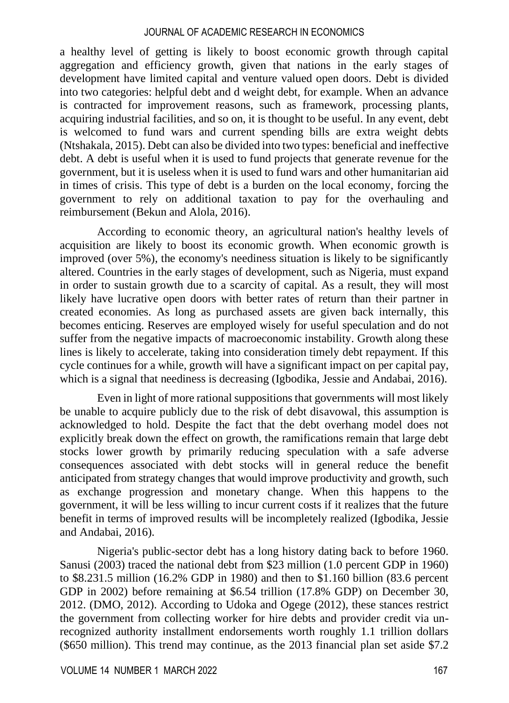a healthy level of getting is likely to boost economic growth through capital aggregation and efficiency growth, given that nations in the early stages of development have limited capital and venture valued open doors. Debt is divided into two categories: helpful debt and d weight debt, for example. When an advance is contracted for improvement reasons, such as framework, processing plants, acquiring industrial facilities, and so on, it is thought to be useful. In any event, debt is welcomed to fund wars and current spending bills are extra weight debts (Ntshakala, 2015). Debt can also be divided into two types: beneficial and ineffective debt. A debt is useful when it is used to fund projects that generate revenue for the government, but it is useless when it is used to fund wars and other humanitarian aid in times of crisis. This type of debt is a burden on the local economy, forcing the government to rely on additional taxation to pay for the overhauling and reimbursement (Bekun and Alola, 2016).

According to economic theory, an agricultural nation's healthy levels of acquisition are likely to boost its economic growth. When economic growth is improved (over 5%), the economy's neediness situation is likely to be significantly altered. Countries in the early stages of development, such as Nigeria, must expand in order to sustain growth due to a scarcity of capital. As a result, they will most likely have lucrative open doors with better rates of return than their partner in created economies. As long as purchased assets are given back internally, this becomes enticing. Reserves are employed wisely for useful speculation and do not suffer from the negative impacts of macroeconomic instability. Growth along these lines is likely to accelerate, taking into consideration timely debt repayment. If this cycle continues for a while, growth will have a significant impact on per capital pay, which is a signal that neediness is decreasing (Igbodika, Jessie and Andabai, 2016).

Even in light of more rational suppositions that governments will most likely be unable to acquire publicly due to the risk of debt disavowal, this assumption is acknowledged to hold. Despite the fact that the debt overhang model does not explicitly break down the effect on growth, the ramifications remain that large debt stocks lower growth by primarily reducing speculation with a safe adverse consequences associated with debt stocks will in general reduce the benefit anticipated from strategy changes that would improve productivity and growth, such as exchange progression and monetary change. When this happens to the government, it will be less willing to incur current costs if it realizes that the future benefit in terms of improved results will be incompletely realized (Igbodika, Jessie and Andabai, 2016).

Nigeria's public-sector debt has a long history dating back to before 1960. Sanusi (2003) traced the national debt from \$23 million (1.0 percent GDP in 1960) to \$8.231.5 million (16.2% GDP in 1980) and then to \$1.160 billion (83.6 percent GDP in 2002) before remaining at \$6.54 trillion (17.8% GDP) on December 30, 2012. (DMO, 2012). According to Udoka and Ogege (2012), these stances restrict the government from collecting worker for hire debts and provider credit via unrecognized authority installment endorsements worth roughly 1.1 trillion dollars (\$650 million). This trend may continue, as the 2013 financial plan set aside \$7.2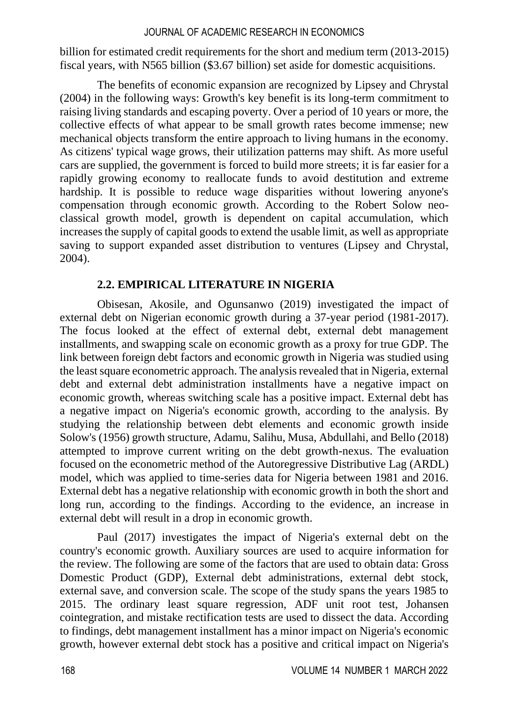billion for estimated credit requirements for the short and medium term (2013-2015) fiscal years, with N565 billion (\$3.67 billion) set aside for domestic acquisitions.

The benefits of economic expansion are recognized by Lipsey and Chrystal (2004) in the following ways: Growth's key benefit is its long-term commitment to raising living standards and escaping poverty. Over a period of 10 years or more, the collective effects of what appear to be small growth rates become immense; new mechanical objects transform the entire approach to living humans in the economy. As citizens' typical wage grows, their utilization patterns may shift. As more useful cars are supplied, the government is forced to build more streets; it is far easier for a rapidly growing economy to reallocate funds to avoid destitution and extreme hardship. It is possible to reduce wage disparities without lowering anyone's compensation through economic growth. According to the Robert Solow neoclassical growth model, growth is dependent on capital accumulation, which increases the supply of capital goods to extend the usable limit, as well as appropriate saving to support expanded asset distribution to ventures (Lipsey and Chrystal, 2004).

## **2.2. EMPIRICAL LITERATURE IN NIGERIA**

Obisesan, Akosile, and Ogunsanwo (2019) investigated the impact of external debt on Nigerian economic growth during a 37-year period (1981-2017). The focus looked at the effect of external debt, external debt management installments, and swapping scale on economic growth as a proxy for true GDP. The link between foreign debt factors and economic growth in Nigeria was studied using the least square econometric approach. The analysis revealed that in Nigeria, external debt and external debt administration installments have a negative impact on economic growth, whereas switching scale has a positive impact. External debt has a negative impact on Nigeria's economic growth, according to the analysis. By studying the relationship between debt elements and economic growth inside Solow's (1956) growth structure, Adamu, Salihu, Musa, Abdullahi, and Bello (2018) attempted to improve current writing on the debt growth-nexus. The evaluation focused on the econometric method of the Autoregressive Distributive Lag (ARDL) model, which was applied to time-series data for Nigeria between 1981 and 2016. External debt has a negative relationship with economic growth in both the short and long run, according to the findings. According to the evidence, an increase in external debt will result in a drop in economic growth.

Paul (2017) investigates the impact of Nigeria's external debt on the country's economic growth. Auxiliary sources are used to acquire information for the review. The following are some of the factors that are used to obtain data: Gross Domestic Product (GDP), External debt administrations, external debt stock, external save, and conversion scale. The scope of the study spans the years 1985 to 2015. The ordinary least square regression, ADF unit root test, Johansen cointegration, and mistake rectification tests are used to dissect the data. According to findings, debt management installment has a minor impact on Nigeria's economic growth, however external debt stock has a positive and critical impact on Nigeria's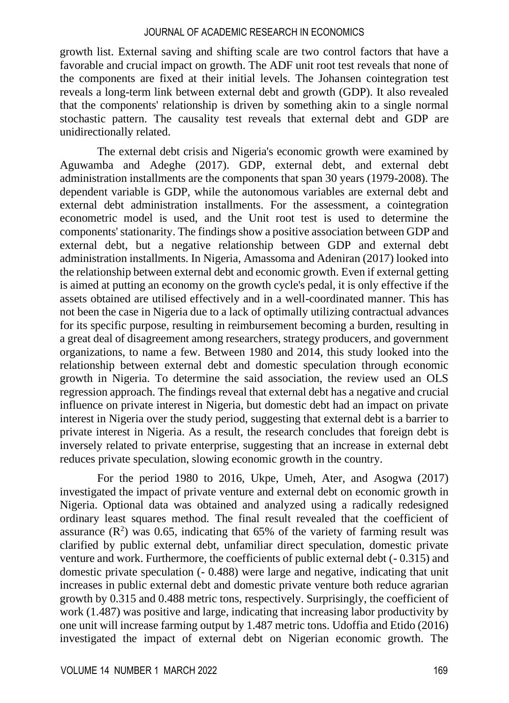growth list. External saving and shifting scale are two control factors that have a favorable and crucial impact on growth. The ADF unit root test reveals that none of the components are fixed at their initial levels. The Johansen cointegration test reveals a long-term link between external debt and growth (GDP). It also revealed that the components' relationship is driven by something akin to a single normal stochastic pattern. The causality test reveals that external debt and GDP are unidirectionally related.

The external debt crisis and Nigeria's economic growth were examined by Aguwamba and Adeghe (2017). GDP, external debt, and external debt administration installments are the components that span 30 years (1979-2008). The dependent variable is GDP, while the autonomous variables are external debt and external debt administration installments. For the assessment, a cointegration econometric model is used, and the Unit root test is used to determine the components' stationarity. The findings show a positive association between GDP and external debt, but a negative relationship between GDP and external debt administration installments. In Nigeria, Amassoma and Adeniran (2017) looked into the relationship between external debt and economic growth. Even if external getting is aimed at putting an economy on the growth cycle's pedal, it is only effective if the assets obtained are utilised effectively and in a well-coordinated manner. This has not been the case in Nigeria due to a lack of optimally utilizing contractual advances for its specific purpose, resulting in reimbursement becoming a burden, resulting in a great deal of disagreement among researchers, strategy producers, and government organizations, to name a few. Between 1980 and 2014, this study looked into the relationship between external debt and domestic speculation through economic growth in Nigeria. To determine the said association, the review used an OLS regression approach. The findings reveal that external debt has a negative and crucial influence on private interest in Nigeria, but domestic debt had an impact on private interest in Nigeria over the study period, suggesting that external debt is a barrier to private interest in Nigeria. As a result, the research concludes that foreign debt is inversely related to private enterprise, suggesting that an increase in external debt reduces private speculation, slowing economic growth in the country.

For the period 1980 to 2016, Ukpe, Umeh, Ater, and Asogwa (2017) investigated the impact of private venture and external debt on economic growth in Nigeria. Optional data was obtained and analyzed using a radically redesigned ordinary least squares method. The final result revealed that the coefficient of assurance  $(R^2)$  was 0.65, indicating that 65% of the variety of farming result was clarified by public external debt, unfamiliar direct speculation, domestic private venture and work. Furthermore, the coefficients of public external debt (- 0.315) and domestic private speculation (- 0.488) were large and negative, indicating that unit increases in public external debt and domestic private venture both reduce agrarian growth by 0.315 and 0.488 metric tons, respectively. Surprisingly, the coefficient of work (1.487) was positive and large, indicating that increasing labor productivity by one unit will increase farming output by 1.487 metric tons. Udoffia and Etido (2016) investigated the impact of external debt on Nigerian economic growth. The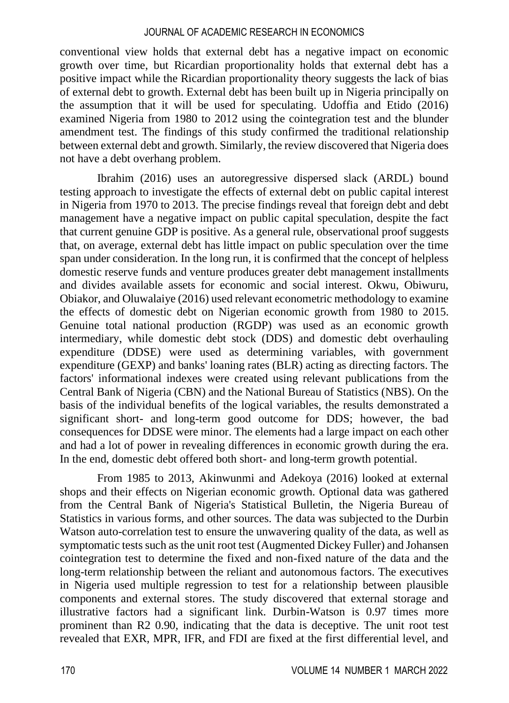conventional view holds that external debt has a negative impact on economic growth over time, but Ricardian proportionality holds that external debt has a positive impact while the Ricardian proportionality theory suggests the lack of bias of external debt to growth. External debt has been built up in Nigeria principally on the assumption that it will be used for speculating. Udoffia and Etido (2016) examined Nigeria from 1980 to 2012 using the cointegration test and the blunder amendment test. The findings of this study confirmed the traditional relationship between external debt and growth. Similarly, the review discovered that Nigeria does not have a debt overhang problem.

Ibrahim (2016) uses an autoregressive dispersed slack (ARDL) bound testing approach to investigate the effects of external debt on public capital interest in Nigeria from 1970 to 2013. The precise findings reveal that foreign debt and debt management have a negative impact on public capital speculation, despite the fact that current genuine GDP is positive. As a general rule, observational proof suggests that, on average, external debt has little impact on public speculation over the time span under consideration. In the long run, it is confirmed that the concept of helpless domestic reserve funds and venture produces greater debt management installments and divides available assets for economic and social interest. Okwu, Obiwuru, Obiakor, and Oluwalaiye (2016) used relevant econometric methodology to examine the effects of domestic debt on Nigerian economic growth from 1980 to 2015. Genuine total national production (RGDP) was used as an economic growth intermediary, while domestic debt stock (DDS) and domestic debt overhauling expenditure (DDSE) were used as determining variables, with government expenditure (GEXP) and banks' loaning rates (BLR) acting as directing factors. The factors' informational indexes were created using relevant publications from the Central Bank of Nigeria (CBN) and the National Bureau of Statistics (NBS). On the basis of the individual benefits of the logical variables, the results demonstrated a significant short- and long-term good outcome for DDS; however, the bad consequences for DDSE were minor. The elements had a large impact on each other and had a lot of power in revealing differences in economic growth during the era. In the end, domestic debt offered both short- and long-term growth potential.

From 1985 to 2013, Akinwunmi and Adekoya (2016) looked at external shops and their effects on Nigerian economic growth. Optional data was gathered from the Central Bank of Nigeria's Statistical Bulletin, the Nigeria Bureau of Statistics in various forms, and other sources. The data was subjected to the Durbin Watson auto-correlation test to ensure the unwavering quality of the data, as well as symptomatic tests such as the unit root test (Augmented Dickey Fuller) and Johansen cointegration test to determine the fixed and non-fixed nature of the data and the long-term relationship between the reliant and autonomous factors. The executives in Nigeria used multiple regression to test for a relationship between plausible components and external stores. The study discovered that external storage and illustrative factors had a significant link. Durbin-Watson is 0.97 times more prominent than R2 0.90, indicating that the data is deceptive. The unit root test revealed that EXR, MPR, IFR, and FDI are fixed at the first differential level, and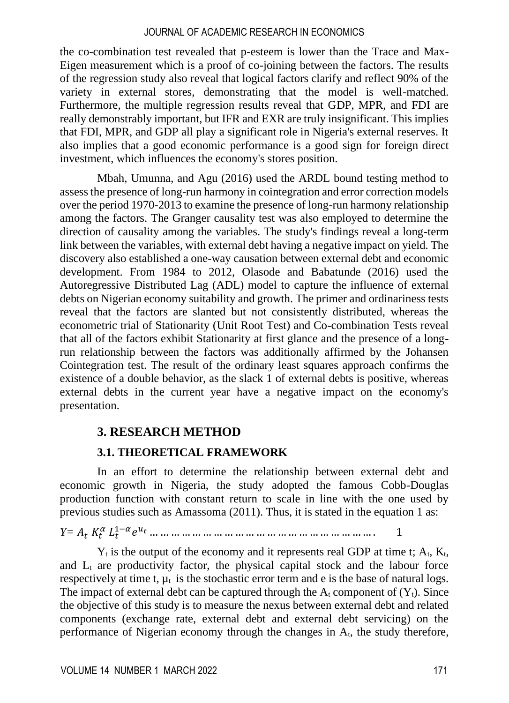the co-combination test revealed that p-esteem is lower than the Trace and Max-Eigen measurement which is a proof of co-joining between the factors. The results of the regression study also reveal that logical factors clarify and reflect 90% of the variety in external stores, demonstrating that the model is well-matched. Furthermore, the multiple regression results reveal that GDP, MPR, and FDI are really demonstrably important, but IFR and EXR are truly insignificant. This implies that FDI, MPR, and GDP all play a significant role in Nigeria's external reserves. It also implies that a good economic performance is a good sign for foreign direct investment, which influences the economy's stores position.

Mbah, Umunna, and Agu (2016) used the ARDL bound testing method to assess the presence of long-run harmony in cointegration and error correction models over the period 1970-2013 to examine the presence of long-run harmony relationship among the factors. The Granger causality test was also employed to determine the direction of causality among the variables. The study's findings reveal a long-term link between the variables, with external debt having a negative impact on yield. The discovery also established a one-way causation between external debt and economic development. From 1984 to 2012, Olasode and Babatunde (2016) used the Autoregressive Distributed Lag (ADL) model to capture the influence of external debts on Nigerian economy suitability and growth. The primer and ordinariness tests reveal that the factors are slanted but not consistently distributed, whereas the econometric trial of Stationarity (Unit Root Test) and Co-combination Tests reveal that all of the factors exhibit Stationarity at first glance and the presence of a longrun relationship between the factors was additionally affirmed by the Johansen Cointegration test. The result of the ordinary least squares approach confirms the existence of a double behavior, as the slack 1 of external debts is positive, whereas external debts in the current year have a negative impact on the economy's presentation.

## **3. RESEARCH METHOD**

## **3.1. THEORETICAL FRAMEWORK**

In an effort to determine the relationship between external debt and economic growth in Nigeria, the study adopted the famous Cobb-Douglas production function with constant return to scale in line with the one used by previous studies such as Amassoma (2011). Thus, it is stated in the equation 1 as:

*Y=*  1− … … … … … … … … … … … … … … … … … … … … … . 1

 $Y_t$  is the output of the economy and it represents real GDP at time t;  $A_t$ ,  $K_t$ , and  $L<sub>t</sub>$  are productivity factor, the physical capital stock and the labour force respectively at time t,  $\mu_t$  is the stochastic error term and e is the base of natural logs. The impact of external debt can be captured through the  $A_t$  component of  $(Y_t)$ . Since the objective of this study is to measure the nexus between external debt and related components (exchange rate, external debt and external debt servicing) on the performance of Nigerian economy through the changes in  $A_t$ , the study therefore,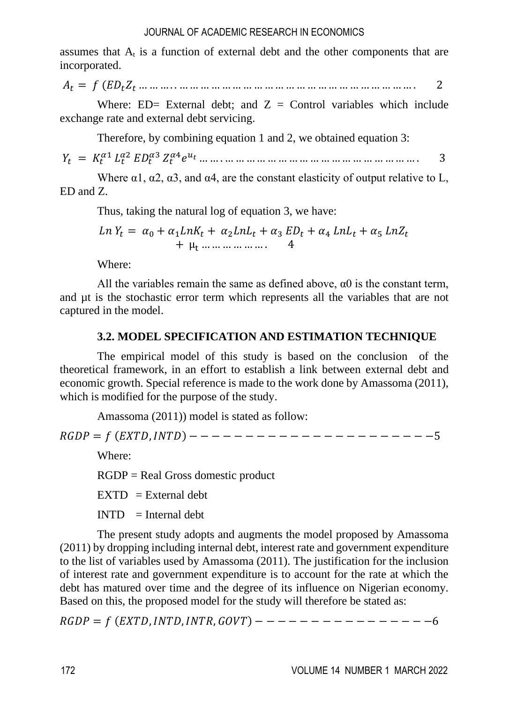assumes that  $A_t$  is a function of external debt and the other components that are incorporated.

 $A_t = f (ED_t Z_t ... ... ... ... ... ... ... ... ... ... ... ... ... ... ... ... ... ... ... ... ... ...)$ 

Where: ED= External debt; and  $Z =$  Control variables which include exchange rate and external debt servicing.

Therefore, by combining equation 1 and 2, we obtained equation 3:

= 1 2 3 4 … … . … … … … … … … … … … … … … … … … … … . 3

Where  $\alpha$ 1,  $\alpha$ 2,  $\alpha$ 3, and  $\alpha$ 4, are the constant elasticity of output relative to L, ED and Z.

Thus, taking the natural log of equation 3, we have:

$$
Ln Yt = \alpha_0 + \alpha_1 LnK_t + \alpha_2 LnL_t + \alpha_3 ED_t + \alpha_4 LnL_t + \alpha_5 LnZ_t
$$
  
+  $\mu_t$  .... ... ... ... 4

Where:

All the variables remain the same as defined above,  $\alpha$ 0 is the constant term, and µt is the stochastic error term which represents all the variables that are not captured in the model.

## **3.2. MODEL SPECIFICATION AND ESTIMATION TECHNIQUE**

The empirical model of this study is based on the conclusion of the theoretical framework, in an effort to establish a link between external debt and economic growth. Special reference is made to the work done by Amassoma (2011), which is modified for the purpose of the study.

Amassoma (2011)) model is stated as follow:

= (,) − − − − − − − − − − − − − − − − − − − − − −5

Where:

RGDP = Real Gross domestic product

 $EXTD = External debt$ 

 $INTD = Internal debt$ 

The present study adopts and augments the model proposed by Amassoma (2011) by dropping including internal debt, interest rate and government expenditure to the list of variables used by Amassoma (2011). The justification for the inclusion of interest rate and government expenditure is to account for the rate at which the debt has matured over time and the degree of its influence on Nigerian economy. Based on this, the proposed model for the study will therefore be stated as:

= (,,, ) − − − − − − − − − − − − − − − −6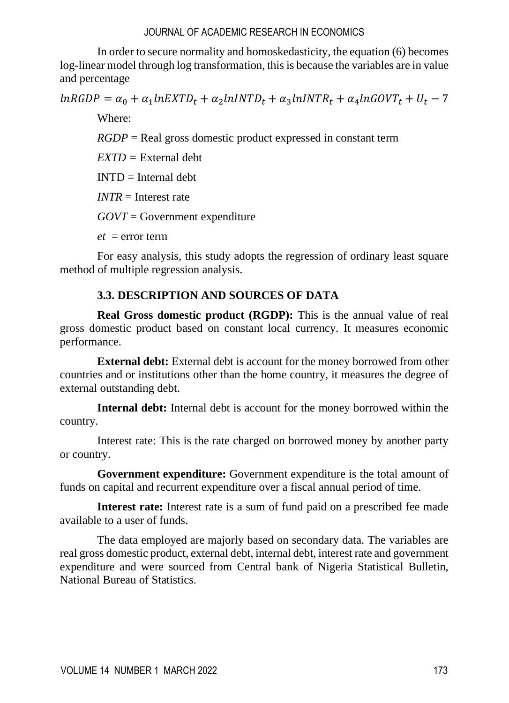In order to secure normality and homoskedasticity, the equation (6) becomes log-linear model through log transformation, this is because the variables are in value and percentage

 $lnRGDP = \alpha_0 + \alpha_1 lnEXTD_t + \alpha_2 lnINTD_t + \alpha_3 lnINTR_t + \alpha_4 lnGOVT_t + U_t - 7$ 

Where:

*RGDP* = Real gross domestic product expressed in constant term

*EXTD =* External debt

 $INTD = Internal$  debt

*INTR* = Interest rate

*GOVT* = Government expenditure

 $et = error term$ 

For easy analysis, this study adopts the regression of ordinary least square method of multiple regression analysis.

## **3.3. DESCRIPTION AND SOURCES OF DATA**

**Real Gross domestic product (RGDP):** This is the annual value of real gross domestic product based on constant local currency. It measures economic performance.

**External debt:** External debt is account for the money borrowed from other countries and or institutions other than the home country, it measures the degree of external outstanding debt.

**Internal debt:** Internal debt is account for the money borrowed within the country.

Interest rate: This is the rate charged on borrowed money by another party or country.

**Government expenditure:** Government expenditure is the total amount of funds on capital and recurrent expenditure over a fiscal annual period of time.

**Interest rate:** Interest rate is a sum of fund paid on a prescribed fee made available to a user of funds.

The data employed are majorly based on secondary data. The variables are real gross domestic product, external debt, internal debt, interest rate and government expenditure and were sourced from Central bank of Nigeria Statistical Bulletin, National Bureau of Statistics.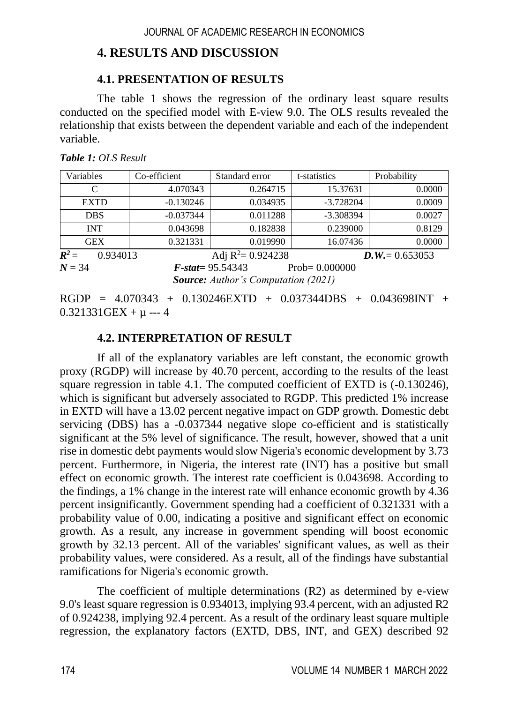## **4. RESULTS AND DISCUSSION**

#### **4.1. PRESENTATION OF RESULTS**

The table 1 shows the regression of the ordinary least square results conducted on the specified model with E-view 9.0. The OLS results revealed the relationship that exists between the dependent variable and each of the independent variable.

| Variables           | Co-efficient | Standard error             | t-statistics | Probability       |  |
|---------------------|--------------|----------------------------|--------------|-------------------|--|
| C                   | 4.070343     | 0.264715                   | 15.37631     | 0.0000            |  |
| <b>EXTD</b>         | $-0.130246$  | 0.034935                   | $-3.728204$  | 0.0009            |  |
| <b>DBS</b>          | $-0.037344$  | 0.011288                   | $-3.308394$  | 0.0027            |  |
| <b>INT</b>          | 0.043698     | 0.182838                   | 0.239000     | 0.8129            |  |
| <b>GEX</b>          | 0.321331     | 0.019990                   | 16.07436     | 0.0000            |  |
| $R^2 =$<br>0.934013 |              | Adj $R^2 = 0.924238$       |              | $D.W. = 0.653053$ |  |
| $N = 34$            |              | $F\text{-}stat = 95.54343$ |              | $Prob = 0.000000$ |  |

*Source: Author's Computation (2021)*

 $RGDP = 4.070343 + 0.130246EXTD + 0.037344DBS + 0.043698INT +$  $0.321331$ GEX +  $\mu$  --- 4

## **4.2. INTERPRETATION OF RESULT**

If all of the explanatory variables are left constant, the economic growth proxy (RGDP) will increase by 40.70 percent, according to the results of the least square regression in table 4.1. The computed coefficient of EXTD is (-0.130246), which is significant but adversely associated to RGDP. This predicted 1% increase in EXTD will have a 13.02 percent negative impact on GDP growth. Domestic debt servicing (DBS) has a -0.037344 negative slope co-efficient and is statistically significant at the 5% level of significance. The result, however, showed that a unit rise in domestic debt payments would slow Nigeria's economic development by 3.73 percent. Furthermore, in Nigeria, the interest rate (INT) has a positive but small effect on economic growth. The interest rate coefficient is 0.043698. According to the findings, a 1% change in the interest rate will enhance economic growth by 4.36 percent insignificantly. Government spending had a coefficient of 0.321331 with a probability value of 0.00, indicating a positive and significant effect on economic growth. As a result, any increase in government spending will boost economic growth by 32.13 percent. All of the variables' significant values, as well as their probability values, were considered. As a result, all of the findings have substantial ramifications for Nigeria's economic growth.

The coefficient of multiple determinations (R2) as determined by e-view 9.0's least square regression is 0.934013, implying 93.4 percent, with an adjusted R2 of 0.924238, implying 92.4 percent. As a result of the ordinary least square multiple regression, the explanatory factors (EXTD, DBS, INT, and GEX) described 92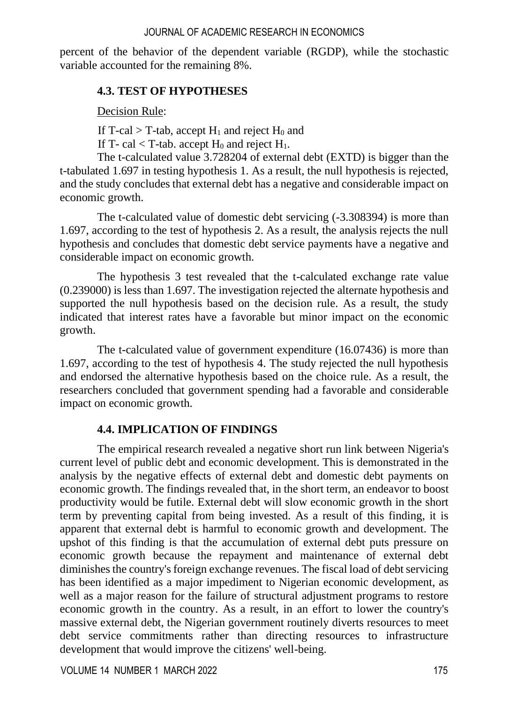percent of the behavior of the dependent variable (RGDP), while the stochastic variable accounted for the remaining 8%.

### **4.3. TEST OF HYPOTHESES**

Decision Rule:

If T-cal  $>$  T-tab, accept H<sub>1</sub> and reject H<sub>0</sub> and

If T- cal  $\langle$  T-tab. accept H<sub>0</sub> and reject H<sub>1</sub>.

The t-calculated value 3.728204 of external debt (EXTD) is bigger than the t-tabulated 1.697 in testing hypothesis 1. As a result, the null hypothesis is rejected, and the study concludes that external debt has a negative and considerable impact on economic growth.

The t-calculated value of domestic debt servicing (-3.308394) is more than 1.697, according to the test of hypothesis 2. As a result, the analysis rejects the null hypothesis and concludes that domestic debt service payments have a negative and considerable impact on economic growth.

The hypothesis 3 test revealed that the t-calculated exchange rate value (0.239000) is less than 1.697. The investigation rejected the alternate hypothesis and supported the null hypothesis based on the decision rule. As a result, the study indicated that interest rates have a favorable but minor impact on the economic growth.

The t-calculated value of government expenditure (16.07436) is more than 1.697, according to the test of hypothesis 4. The study rejected the null hypothesis and endorsed the alternative hypothesis based on the choice rule. As a result, the researchers concluded that government spending had a favorable and considerable impact on economic growth.

## **4.4. IMPLICATION OF FINDINGS**

The empirical research revealed a negative short run link between Nigeria's current level of public debt and economic development. This is demonstrated in the analysis by the negative effects of external debt and domestic debt payments on economic growth. The findings revealed that, in the short term, an endeavor to boost productivity would be futile. External debt will slow economic growth in the short term by preventing capital from being invested. As a result of this finding, it is apparent that external debt is harmful to economic growth and development. The upshot of this finding is that the accumulation of external debt puts pressure on economic growth because the repayment and maintenance of external debt diminishes the country's foreign exchange revenues. The fiscal load of debt servicing has been identified as a major impediment to Nigerian economic development, as well as a major reason for the failure of structural adjustment programs to restore economic growth in the country. As a result, in an effort to lower the country's massive external debt, the Nigerian government routinely diverts resources to meet debt service commitments rather than directing resources to infrastructure development that would improve the citizens' well-being.

VOLUME 14 NUMBER 1 MARCH 2022 175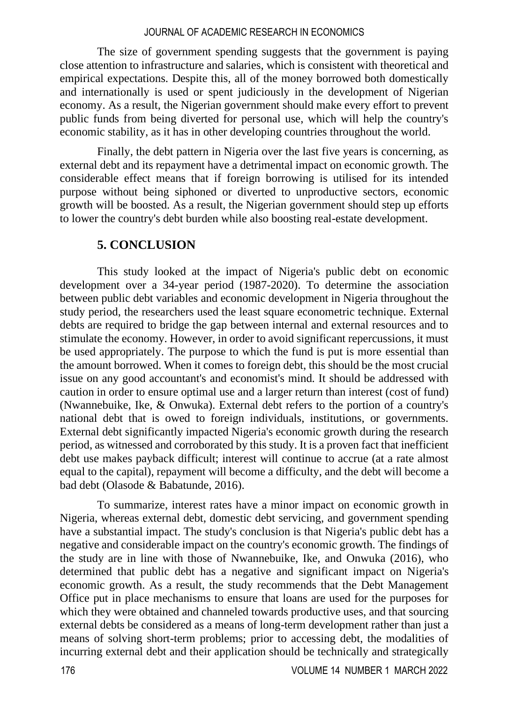The size of government spending suggests that the government is paying close attention to infrastructure and salaries, which is consistent with theoretical and empirical expectations. Despite this, all of the money borrowed both domestically and internationally is used or spent judiciously in the development of Nigerian economy. As a result, the Nigerian government should make every effort to prevent public funds from being diverted for personal use, which will help the country's economic stability, as it has in other developing countries throughout the world.

Finally, the debt pattern in Nigeria over the last five years is concerning, as external debt and its repayment have a detrimental impact on economic growth. The considerable effect means that if foreign borrowing is utilised for its intended purpose without being siphoned or diverted to unproductive sectors, economic growth will be boosted. As a result, the Nigerian government should step up efforts to lower the country's debt burden while also boosting real-estate development.

## **5. CONCLUSION**

This study looked at the impact of Nigeria's public debt on economic development over a 34-year period (1987-2020). To determine the association between public debt variables and economic development in Nigeria throughout the study period, the researchers used the least square econometric technique. External debts are required to bridge the gap between internal and external resources and to stimulate the economy. However, in order to avoid significant repercussions, it must be used appropriately. The purpose to which the fund is put is more essential than the amount borrowed. When it comes to foreign debt, this should be the most crucial issue on any good accountant's and economist's mind. It should be addressed with caution in order to ensure optimal use and a larger return than interest (cost of fund) (Nwannebuike, Ike, & Onwuka). External debt refers to the portion of a country's national debt that is owed to foreign individuals, institutions, or governments. External debt significantly impacted Nigeria's economic growth during the research period, as witnessed and corroborated by this study. It is a proven fact that inefficient debt use makes payback difficult; interest will continue to accrue (at a rate almost equal to the capital), repayment will become a difficulty, and the debt will become a bad debt (Olasode & Babatunde, 2016).

To summarize, interest rates have a minor impact on economic growth in Nigeria, whereas external debt, domestic debt servicing, and government spending have a substantial impact. The study's conclusion is that Nigeria's public debt has a negative and considerable impact on the country's economic growth. The findings of the study are in line with those of Nwannebuike, Ike, and Onwuka (2016), who determined that public debt has a negative and significant impact on Nigeria's economic growth. As a result, the study recommends that the Debt Management Office put in place mechanisms to ensure that loans are used for the purposes for which they were obtained and channeled towards productive uses, and that sourcing external debts be considered as a means of long-term development rather than just a means of solving short-term problems; prior to accessing debt, the modalities of incurring external debt and their application should be technically and strategically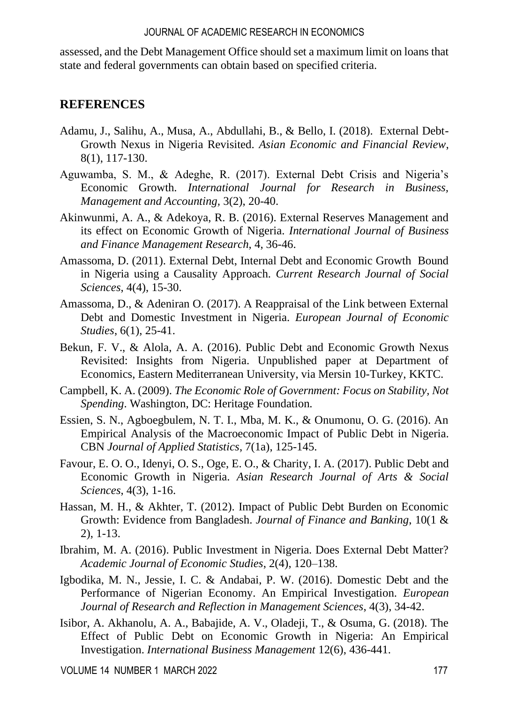assessed, and the Debt Management Office should set a maximum limit on loans that state and federal governments can obtain based on specified criteria.

## **REFERENCES**

- Adamu, J., Salihu, A., Musa, A., Abdullahi, B., & Bello, I. (2018). External Debt-Growth Nexus in Nigeria Revisited. *Asian Economic and Financial Review*, 8(1), 117-130.
- Aguwamba, S. M., & Adeghe, R. (2017). External Debt Crisis and Nigeria's Economic Growth. *International Journal for Research in Business, Management and Accounting,* 3(2), 20-40.
- Akinwunmi, A. A., & Adekoya, R. B. (2016). External Reserves Management and its effect on Economic Growth of Nigeria. *International Journal of Business and Finance Management Research*, 4, 36-46.
- Amassoma, D. (2011). External Debt, Internal Debt and Economic Growth Bound in Nigeria using a Causality Approach. *Current Research Journal of Social Sciences*, 4(4), 15-30.
- Amassoma, D., & Adeniran O. (2017). A Reappraisal of the Link between External Debt and Domestic Investment in Nigeria. *European Journal of Economic Studies*, 6(1), 25-41.
- Bekun, F. V., & Alola, A. A. (2016). Public Debt and Economic Growth Nexus Revisited: Insights from Nigeria. Unpublished paper at Department of Economics, Eastern Mediterranean University, via Mersin 10-Turkey, KKTC.
- Campbell, K. A. (2009). *The Economic Role of Government: Focus on Stability, Not Spending*. Washington, DC: Heritage Foundation.
- Essien, S. N., Agboegbulem, N. T. I., Mba, M. K., & Onumonu, O. G. (2016). An Empirical Analysis of the Macroeconomic Impact of Public Debt in Nigeria. CBN *Journal of Applied Statistics*, 7(1a), 125-145.
- Favour, E. O. O., Idenyi, O. S., Oge, E. O., & Charity, I. A. (2017). Public Debt and Economic Growth in Nigeria. *Asian Research Journal of Arts & Social Sciences*, 4(3), 1-16.
- Hassan, M. H., & Akhter, T. (2012). Impact of Public Debt Burden on Economic Growth: Evidence from Bangladesh. *Journal of Finance and Banking*, 10(1 & 2), 1-13.
- Ibrahim, M. A. (2016). Public Investment in Nigeria. Does External Debt Matter? *Academic Journal of Economic Studies*, 2(4), 120–138.
- Igbodika, M. N., Jessie, I. C. & Andabai, P. W. (2016). Domestic Debt and the Performance of Nigerian Economy. An Empirical Investigation. *European Journal of Research and Reflection in Management Sciences*, 4(3), 34-42.
- Isibor, A. Akhanolu, A. A., Babajide, A. V., Oladeji, T., & Osuma, G. (2018). The Effect of Public Debt on Economic Growth in Nigeria: An Empirical Investigation. *International Business Management* 12(6), 436-441.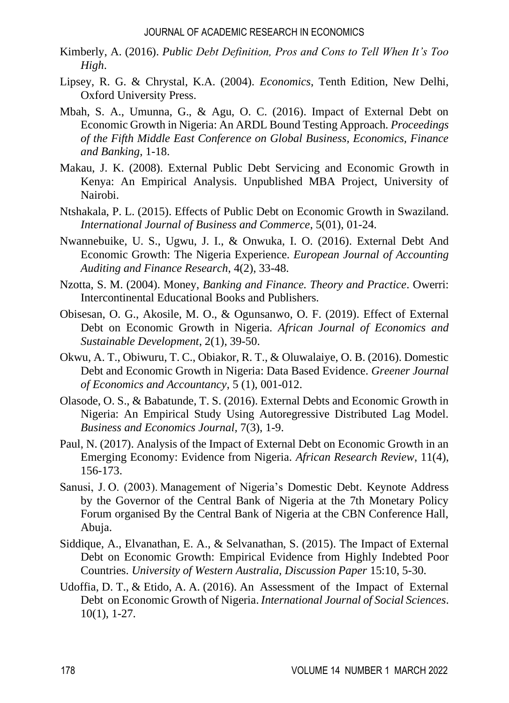- Kimberly, A. (2016). *Public Debt Definition, Pros and Cons to Tell When It's Too High*.
- Lipsey, R. G. & Chrystal, K.A. (2004). *Economics*, Tenth Edition, New Delhi, Oxford University Press.
- Mbah, S. A., Umunna, G., & Agu, O. C. (2016). Impact of External Debt on Economic Growth in Nigeria: An ARDL Bound Testing Approach*. Proceedings of the Fifth Middle East Conference on Global Business, Economics, Finance and Banking*, 1-18.
- Makau, J. K. (2008). External Public Debt Servicing and Economic Growth in Kenya: An Empirical Analysis. Unpublished MBA Project, University of Nairobi.
- Ntshakala, P. L. (2015). Effects of Public Debt on Economic Growth in Swaziland. *International Journal of Business and Commerce*, 5(01), 01-24.
- Nwannebuike, U. S., Ugwu, J. I., & Onwuka, I. O. (2016). External Debt And Economic Growth: The Nigeria Experience. *European Journal of Accounting Auditing and Finance Research*, 4(2), 33-48.
- Nzotta, S. M. (2004). Money, *Banking and Finance. Theory and Practice*. Owerri: Intercontinental Educational Books and Publishers.
- Obisesan, O. G., Akosile, M. O., & Ogunsanwo, O. F. (2019). Effect of External Debt on Economic Growth in Nigeria. *African Journal of Economics and Sustainable Development*, 2(1), 39-50.
- Okwu, A. T., Obiwuru, T. C., Obiakor, R. T., & Oluwalaiye, O. B. (2016). Domestic Debt and Economic Growth in Nigeria: Data Based Evidence. *Greener Journal of Economics and Accountancy*, 5 (1), 001-012.
- Olasode, O. S., & Babatunde, T. S. (2016). External Debts and Economic Growth in Nigeria: An Empirical Study Using Autoregressive Distributed Lag Model. *Business and Economics Journal,* 7(3), 1-9.
- Paul, N. (2017). Analysis of the Impact of External Debt on Economic Growth in an Emerging Economy: Evidence from Nigeria. *African Research Review*, 11(4), 156-173.
- Sanusi, J. O. (2003). Management of Nigeria's Domestic Debt. Keynote Address by the Governor of the Central Bank of Nigeria at the 7th Monetary Policy Forum organised By the Central Bank of Nigeria at the CBN Conference Hall, Abuja.
- Siddique, A., Elvanathan, E. A., & Selvanathan, S. (2015). The Impact of External Debt on Economic Growth: Empirical Evidence from Highly Indebted Poor Countries. *University of Western Australia, Discussion Paper* 15:10, 5-30.
- Udoffia, D. T., & Etido, A. A. (2016). An Assessment of the Impact of External Debt on Economic Growth of Nigeria. *International Journal of Social Sciences*. 10(1), 1-27.